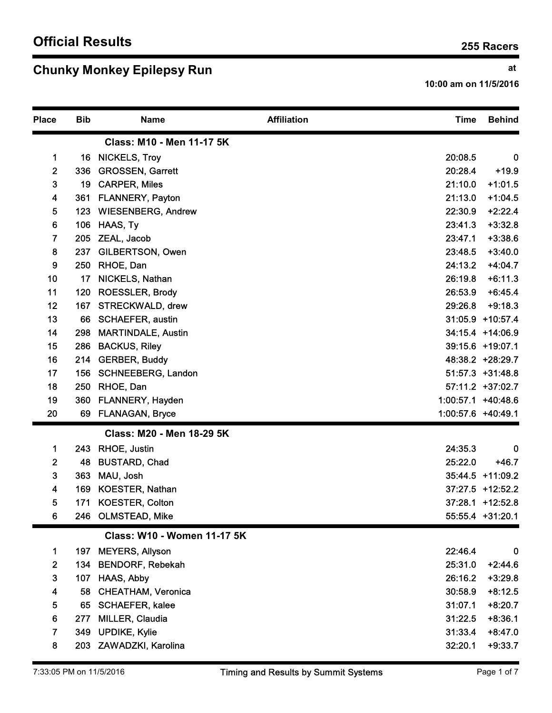## Chunky Monkey Epilepsy Run and the control of the control of the control of the control of the control of the control of the control of the control of the control of the control of the control of the control of the control

|                                            |            |                                                  |                    |                       | 255 Racers                           |
|--------------------------------------------|------------|--------------------------------------------------|--------------------|-----------------------|--------------------------------------|
|                                            |            | <b>Chunky Monkey Epilepsy Run</b>                |                    | 10:00 am on 11/5/2016 | at                                   |
| <b>Place</b>                               | <b>Bib</b> | <b>Name</b>                                      | <b>Affiliation</b> | <b>Time</b>           | <b>Behind</b>                        |
|                                            |            | Class: M10 - Men 11-17 5K                        |                    |                       |                                      |
| $\mathbf 1$                                |            | 16 NICKELS, Troy                                 |                    | 20:08.5               | 0                                    |
| $\mathbf{2}$                               | 336        | <b>GROSSEN, Garrett</b>                          |                    | 20:28.4               | $+19.9$                              |
| $\mathbf{3}$                               | 19         | <b>CARPER, Miles</b>                             |                    | 21:10.0               | $+1:01.5$                            |
| 4                                          | 361        | <b>FLANNERY, Payton</b>                          |                    | 21:13.0               | $+1:04.5$                            |
| 5                                          | 123        | <b>WIESENBERG, Andrew</b>                        |                    | 22:30.9               | $+2:22.4$                            |
| 6                                          | 106        | HAAS, Ty                                         |                    | 23:41.3               | $+3:32.8$                            |
| 7                                          | 205        | ZEAL, Jacob                                      |                    | 23:47.1               | $+3:38.6$                            |
| 8<br>9                                     | 237        | GILBERTSON, Owen<br>250 RHOE, Dan                |                    | 23:48.5<br>24:13.2    | $+3:40.0$<br>$+4:04.7$               |
| 10                                         |            | 17 NICKELS, Nathan                               |                    | 26:19.8               | $+6:11.3$                            |
| 11                                         | 120        | <b>ROESSLER, Brody</b>                           |                    | 26:53.9               | $+6:45.4$                            |
| 12                                         |            | 167 STRECKWALD, drew                             |                    | 29:26.8               | $+9:18.3$                            |
| 13                                         |            | 66 SCHAEFER, austin                              |                    |                       | 31:05.9 +10:57.4                     |
| 14                                         | 298        | <b>MARTINDALE, Austin</b>                        |                    |                       | 34:15.4 +14:06.9                     |
| 15                                         | 286        | <b>BACKUS, Riley</b>                             |                    |                       | 39:15.6 +19:07.1                     |
| 16                                         |            | 214 GERBER, Buddy                                |                    |                       | 48:38.2 +28:29.7                     |
| 17                                         |            | 156 SCHNEEBERG, Landon                           |                    |                       | 51:57.3 +31:48.8                     |
| 18                                         | 250        | RHOE, Dan                                        |                    |                       | 57:11.2 +37:02.7                     |
| 19                                         |            | 360 FLANNERY, Hayden                             |                    | 1:00:57.1 +40:48.6    |                                      |
| 20                                         |            | 69 FLANAGAN, Bryce                               |                    | 1:00:57.6 +40:49.1    |                                      |
|                                            |            | Class: M20 - Men 18-29 5K                        |                    |                       |                                      |
| 1                                          |            | 243 RHOE, Justin                                 |                    | 24:35.3               | $\mathbf 0$                          |
| $\mathbf{2}$                               | 48         | <b>BUSTARD, Chad</b>                             |                    | 25:22.0               | $+46.7$                              |
| $\mathbf{3}$                               | 363        | MAU, Josh                                        |                    |                       | 35:44.5 +11:09.2                     |
| $\overline{\mathbf{4}}$<br>$5\phantom{.0}$ | 169<br>171 | <b>KOESTER, Nathan</b><br><b>KOESTER, Colton</b> |                    |                       | 37:27.5 +12:52.2<br>37:28.1 +12:52.8 |
| $6\phantom{a}$                             |            | 246 OLMSTEAD, Mike                               |                    |                       | 55:55.4 +31:20.1                     |
|                                            |            | <b>Class: W10 - Women 11-17 5K</b>               |                    |                       |                                      |
| 1                                          | 197        | <b>MEYERS, Allyson</b>                           |                    | 22:46.4               | 0                                    |
| $\overline{2}$                             | 134        | <b>BENDORF, Rebekah</b>                          |                    | 25:31.0               | $+2:44.6$                            |
| $\mathbf{3}$                               | 107        | <b>HAAS, Abby</b>                                |                    | 26:16.2               | $+3:29.8$                            |
| $\overline{\mathbf{4}}$                    | 58         | <b>CHEATHAM, Veronica</b>                        |                    | 30:58.9               | $+8:12.5$                            |
| 5                                          | 65         | <b>SCHAEFER, kalee</b>                           |                    | 31:07.1               | $+8:20.7$                            |
| 6                                          | 277        | MILLER, Claudia                                  |                    | 31:22.5               | $+8:36.1$                            |
| $\overline{7}$                             | 349        | <b>UPDIKE, Kylie</b>                             |                    | 31:33.4               | $+8:47.0$                            |
| 8                                          | 203        | ZAWADZKI, Karolina                               |                    | 32:20.1               | $+9:33.7$                            |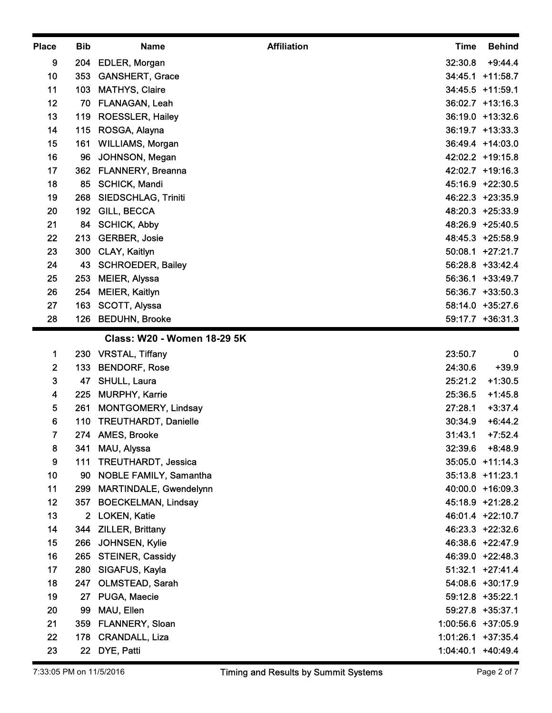| <b>Place</b>                  | <b>Bib</b> | <b>Name</b>                                   | <b>Affiliation</b> | <b>Time</b>        | <b>Behind</b>                        |
|-------------------------------|------------|-----------------------------------------------|--------------------|--------------------|--------------------------------------|
| 9                             | 204        | EDLER, Morgan                                 |                    | 32:30.8            | $+9:44.4$                            |
| 10                            | 353        | <b>GANSHERT, Grace</b>                        |                    |                    | 34:45.1 +11:58.7                     |
| 11                            | 103        | <b>MATHYS, Claire</b>                         |                    |                    | 34:45.5 +11:59.1                     |
| 12                            | 70         | FLANAGAN, Leah                                |                    |                    | 36:02.7 +13:16.3                     |
| 13                            | 119        | ROESSLER, Hailey                              |                    |                    | 36:19.0 +13:32.6                     |
| 14                            | 115        | ROSGA, Alayna                                 |                    |                    | 36:19.7 +13:33.3                     |
| 15<br>16                      | 161        | WILLIAMS, Morgan                              |                    |                    | 36:49.4 +14:03.0<br>42:02.2 +19:15.8 |
| 17                            | 96         | JOHNSON, Megan<br>362 FLANNERY, Breanna       |                    |                    | 42:02.7 +19:16.3                     |
| 18                            | 85         | <b>SCHICK, Mandi</b>                          |                    |                    | 45:16.9 +22:30.5                     |
| 19                            | 268        | SIEDSCHLAG, Triniti                           |                    |                    | 46:22.3 +23:35.9                     |
| 20                            |            | 192 GILL, BECCA                               |                    |                    | 48:20.3 +25:33.9                     |
| 21                            |            | 84 SCHICK, Abby                               |                    |                    | 48:26.9 +25:40.5                     |
| 22                            | 213        | <b>GERBER, Josie</b>                          |                    |                    | 48:45.3 +25:58.9                     |
| 23                            | 300        | CLAY, Kaitlyn                                 |                    |                    | 50:08.1 +27:21.7                     |
| 24                            |            | 43 SCHROEDER, Bailey                          |                    |                    | 56:28.8 +33:42.4                     |
| 25                            | 253        | <b>MEIER, Alyssa</b>                          |                    |                    | 56:36.1 +33:49.7                     |
| 26<br>27                      | 254<br>163 | <b>MEIER, Kaitlyn</b><br><b>SCOTT, Alyssa</b> |                    |                    | 56:36.7 +33:50.3<br>58:14.0 +35:27.6 |
| 28                            |            | 126 BEDUHN, Brooke                            |                    |                    | 59:17.7 +36:31.3                     |
|                               |            | Class: W20 - Women 18-29 5K                   |                    |                    |                                      |
| 1                             | 230        | <b>VRSTAL, Tiffany</b>                        |                    | 23:50.7            | 0                                    |
| $\overline{2}$                | 133        | <b>BENDORF, Rose</b>                          |                    | 24:30.6            | $+39.9$                              |
| $\mathbf{3}$                  | 47         | SHULL, Laura                                  |                    | 25:21.2            | $+1:30.5$                            |
| $\overline{\mathbf{4}}$       | 225        | <b>MURPHY, Karrie</b>                         |                    | 25:36.5            | $+1:45.8$                            |
| 5                             | 261        | <b>MONTGOMERY, Lindsay</b>                    |                    | 27:28.1            | $+3:37.4$                            |
| 6                             | 110        | <b>TREUTHARDT, Danielle</b>                   |                    | 30:34.9            | $+6:44.2$                            |
| $\overline{\phantom{a}}$<br>8 |            | 274 AMES, Brooke<br>MAU, Alyssa               |                    | 31:43.1            | $+7:52.4$<br>32:39.6 +8:48.9         |
| 9                             | 341        | 111 TREUTHARDT, Jessica                       |                    |                    | 35:05.0 +11:14.3                     |
| 10                            | 90         | <b>NOBLE FAMILY, Samantha</b>                 |                    |                    | 35:13.8 +11:23.1                     |
| 11                            | 299        | MARTINDALE, Gwendelynn                        |                    |                    | 40:00.0 +16:09.3                     |
| 12                            | 357        | <b>BOECKELMAN, Lindsay</b>                    |                    |                    | 45:18.9 +21:28.2                     |
| 13                            |            | 2 LOKEN, Katie                                |                    |                    | 46:01.4 +22:10.7                     |
| 14                            | 344        | <b>ZILLER, Brittany</b>                       |                    |                    | 46:23.3 +22:32.6                     |
| 15                            | 266        | JOHNSEN, Kylie                                |                    |                    | 46:38.6 +22:47.9                     |
| 16                            |            | 265 STEINER, Cassidy                          |                    |                    | 46:39.0 +22:48.3                     |
| 17                            |            | 280 SIGAFUS, Kayla                            |                    |                    | $51:32.1$ +27:41.4                   |
| 18                            | 247        | OLMSTEAD, Sarah                               |                    |                    | 54:08.6 +30:17.9                     |
| 19                            |            | 27 PUGA, Maecie                               |                    |                    | 59:12.8 +35:22.1                     |
| 20<br>21                      |            | 99 MAU, Ellen<br>359 FLANNERY, Sloan          |                    | 1:00:56.6 +37:05.9 | 59:27.8 +35:37.1                     |
| 22                            |            | 178 CRANDALL, Liza                            |                    | 1:01:26.1 +37:35.4 |                                      |
| 23                            |            | 22 DYE, Patti                                 |                    |                    | 1:04:40.1 +40:49.4                   |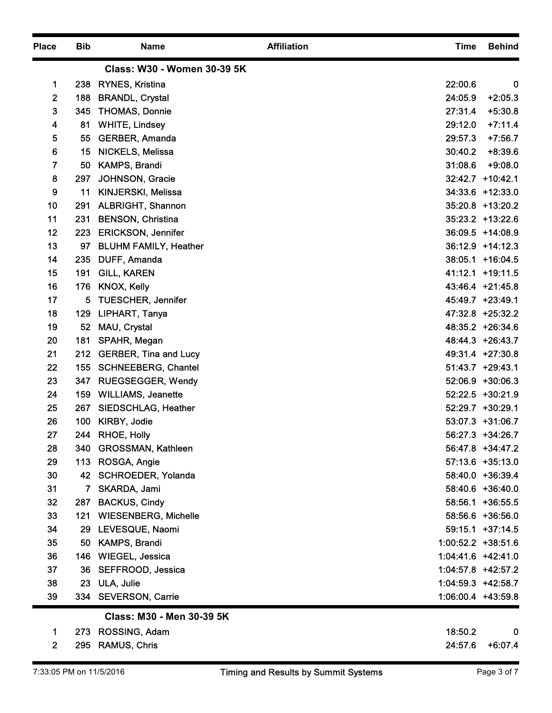| <b>Place</b>   | <b>Bib</b> | <b>Name</b>                               | <b>Affiliation</b> | <b>Time</b>          | <b>Behind</b>                        |
|----------------|------------|-------------------------------------------|--------------------|----------------------|--------------------------------------|
|                |            | Class: W30 - Women 30-39 5K               |                    |                      |                                      |
| 1              | 238        | RYNES, Kristina                           |                    | 22:00.6              | $\mathbf 0$                          |
| $\mathbf{2}$   | 188        | <b>BRANDL, Crystal</b>                    |                    | 24:05.9              | $+2:05.3$                            |
| 3              | 345        | <b>THOMAS, Donnie</b>                     |                    | 27:31.4              | $+5:30.8$                            |
| 4              | 81         | <b>WHITE, Lindsey</b>                     |                    | 29:12.0              | $+7:11.4$                            |
| 5<br>6         | 55         | GERBER, Amanda<br><b>NICKELS, Melissa</b> |                    | 29:57.3<br>30:40.2   | $+7:56.7$<br>$+8:39.6$               |
| $\overline{7}$ | 15<br>50   | KAMPS, Brandi                             |                    | 31:08.6              | $+9:08.0$                            |
| 8              | 297        | JOHNSON, Gracie                           |                    |                      | 32:42.7 +10:42.1                     |
| 9              | 11         | KINJERSKI, Melissa                        |                    |                      | 34:33.6 +12:33.0                     |
| 10             | 291        | <b>ALBRIGHT, Shannon</b>                  |                    |                      | 35:20.8 +13:20.2                     |
| 11             | 231        | <b>BENSON, Christina</b>                  |                    |                      | 35:23.2 +13:22.6                     |
| 12             | 223        | <b>ERICKSON, Jennifer</b>                 |                    |                      | 36:09.5 +14:08.9                     |
| 13             | 97         | <b>BLUHM FAMILY, Heather</b>              |                    |                      | 36:12.9 +14:12.3                     |
| 14             |            | 235 DUFF, Amanda                          |                    |                      | 38:05.1 +16:04.5                     |
| 15             | 191        | <b>GILL, KAREN</b>                        |                    |                      | 41:12.1 +19:11.5                     |
| 16<br>17       |            | 176 KNOX, Kelly<br>5 TUESCHER, Jennifer   |                    |                      | 43:46.4 +21:45.8<br>45:49.7 +23:49.1 |
| 18             |            | 129 LIPHART, Tanya                        |                    |                      | 47:32.8 +25:32.2                     |
| 19             |            | 52 MAU, Crystal                           |                    |                      | 48:35.2 +26:34.6                     |
| 20             | 181        | SPAHR, Megan                              |                    |                      | 48:44.3 +26:43.7                     |
| 21             |            | 212 GERBER, Tina and Lucy                 |                    |                      | 49:31.4 +27:30.8                     |
| 22             |            | 155 SCHNEEBERG, Chantel                   |                    |                      | 51:43.7 +29:43.1                     |
| 23             | 347        | <b>RUEGSEGGER, Wendy</b>                  |                    |                      | 52:06.9 +30:06.3                     |
| 24             |            | 159 WILLIAMS, Jeanette                    |                    |                      | 52:22.5 +30:21.9                     |
| 25             |            | 267 SIEDSCHLAG, Heather                   |                    |                      | 52:29.7 +30:29.1                     |
| 26             | 100        | KIRBY, Jodie                              |                    |                      | 53:07.3 +31:06.7                     |
| 27<br>28       | 244<br>340 | RHOE, Holly<br><b>GROSSMAN, Kathleen</b>  |                    |                      | 56:27.3 +34:26.7<br>56:47.8 +34:47.2 |
| 29             |            | 113 ROSGA, Angie                          |                    |                      | 57:13.6 +35:13.0                     |
| 30             |            | 42 SCHROEDER, Yolanda                     |                    |                      | 58:40.0 +36:39.4                     |
| 31             | 7          | SKARDA, Jami                              |                    |                      | 58:40.6 +36:40.0                     |
| 32             | 287        | <b>BACKUS, Cindy</b>                      |                    |                      | 58:56.1 +36:55.5                     |
| 33             | 121        | <b>WIESENBERG, Michelle</b>               |                    |                      | 58:56.6 +36:56.0                     |
| 34             | 29         | LEVESQUE, Naomi                           |                    |                      | $59:15.1$ +37:14.5                   |
| 35             | 50         | <b>KAMPS, Brandi</b>                      |                    | 1:00:52.2 +38:51.6   |                                      |
| 36             |            | 146 WIEGEL, Jessica                       |                    | $1:04:41.6$ +42:41.0 |                                      |
| 37             |            | 36 SEFFROOD, Jessica                      |                    | 1:04:57.8 +42:57.2   |                                      |
| 38             |            | 23 ULA, Julie                             |                    | 1:04:59.3 +42:58.7   |                                      |
| 39             |            | 334 SEVERSON, Carrie                      |                    | 1:06:00.4 +43:59.8   |                                      |
|                |            | Class: M30 - Men 30-39 5K                 |                    |                      |                                      |
|                | 273<br>295 | ROSSING, Adam<br><b>RAMUS, Chris</b>      |                    | 18:50.2              | $\pmb{0}$<br>24:57.6 +6:07.4         |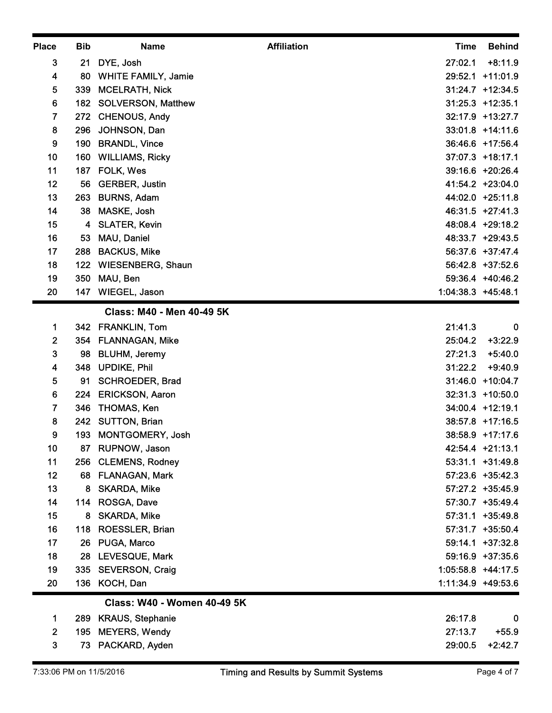| <b>Place</b>                          | <b>Bib</b> | <b>Name</b>                                    | <b>Affiliation</b><br><b>Time</b> | <b>Behind</b>                        |
|---------------------------------------|------------|------------------------------------------------|-----------------------------------|--------------------------------------|
| $\mathbf{3}$                          |            | 21 DYE, Josh                                   | 27:02.1                           | $+8:11.9$                            |
| 4                                     | 80         | <b>WHITE FAMILY, Jamie</b>                     |                                   | 29:52.1 +11:01.9                     |
| 5                                     | 339        | <b>MCELRATH, Nick</b>                          |                                   | $31:24.7$ +12:34.5                   |
| 6                                     | 182        | <b>SOLVERSON, Matthew</b>                      |                                   | $31:25.3$ +12:35.1                   |
| $\overline{7}$                        | 272        | <b>CHENOUS, Andy</b>                           |                                   | 32:17.9 +13:27.7                     |
| 8                                     | 296        | JOHNSON, Dan                                   |                                   | 33:01.8 +14:11.6                     |
| 9<br>10                               | 190<br>160 | <b>BRANDL, Vince</b><br><b>WILLIAMS, Ricky</b> |                                   | 36:46.6 +17:56.4<br>37:07.3 +18:17.1 |
| 11                                    | 187        | FOLK, Wes                                      |                                   | 39:16.6 +20:26.4                     |
| 12                                    | 56         | <b>GERBER, Justin</b>                          |                                   | 41:54.2 +23:04.0                     |
| 13                                    | 263        | <b>BURNS, Adam</b>                             |                                   | 44:02.0 +25:11.8                     |
| 14                                    | 38         | MASKE, Josh                                    |                                   | 46:31.5 +27:41.3                     |
| 15                                    |            | 4 SLATER, Kevin                                |                                   | 48:08.4 +29:18.2                     |
| 16                                    | 53         | MAU, Daniel                                    |                                   | 48:33.7 +29:43.5                     |
| 17                                    | 288        | <b>BACKUS, Mike</b>                            |                                   | 56:37.6 +37:47.4                     |
| 18                                    |            | 122 WIESENBERG, Shaun                          |                                   | 56:42.8 +37:52.6                     |
| 19                                    |            | 350 MAU, Ben                                   |                                   | 59:36.4 +40:46.2                     |
| 20                                    |            | 147 WIEGEL, Jason                              |                                   | 1:04:38.3 +45:48.1                   |
|                                       |            | Class: M40 - Men 40-49 5K                      |                                   |                                      |
| $\mathbf 1$                           |            | 342 FRANKLIN, Tom                              | 21:41.3                           | $\boldsymbol{0}$                     |
| $\mathbf{2}$                          |            | 354 FLANNAGAN, Mike                            | 25:04.2                           | $+3:22.9$                            |
| $\mathbf{3}$                          | 98         | <b>BLUHM, Jeremy</b>                           | 27:21.3                           | $+5:40.0$                            |
| $\overline{\mathbf{4}}$<br>$\sqrt{5}$ | 348<br>91  | <b>UPDIKE, Phil</b><br><b>SCHROEDER, Brad</b>  | 31:22.2                           | $+9:40.9$<br>31:46.0 +10:04.7        |
| 6                                     | 224        | <b>ERICKSON, Aaron</b>                         |                                   | 32:31.3 +10:50.0                     |
| $\overline{\mathbf{r}}$               | 346        | THOMAS, Ken                                    |                                   | 34:00.4 +12:19.1                     |
| 8                                     |            | 242 SUTTON, Brian                              |                                   | 38:57.8 +17:16.5                     |
| 9                                     | 193        | MONTGOMERY, Josh                               |                                   | 38:58.9 +17:17.6                     |
| 10                                    |            | 87 RUPNOW, Jason                               |                                   | 42:54.4 +21:13.1                     |
| 11                                    |            | 256 CLEMENS, Rodney                            |                                   | 53:31.1 +31:49.8                     |
| 12                                    |            | 68 FLANAGAN, Mark                              |                                   | 57:23.6 +35:42.3                     |
| 13                                    | 8          | <b>SKARDA, Mike</b>                            |                                   | 57:27.2 +35:45.9                     |
| 14                                    |            | 114 ROSGA, Dave                                |                                   | 57:30.7 +35:49.4                     |
| 15                                    |            | 8 SKARDA, Mike                                 |                                   | 57:31.1 +35:49.8                     |
| 16                                    | 118        | ROESSLER, Brian                                |                                   | 57:31.7 +35:50.4                     |
| 17<br>18                              |            | 26 PUGA, Marco<br>28 LEVESQUE, Mark            |                                   | 59:14.1 +37:32.8<br>59:16.9 +37:35.6 |
| 19                                    |            | 335 SEVERSON, Craig                            |                                   | 1:05:58.8 +44:17.5                   |
| 20                                    |            | 136 KOCH, Dan                                  |                                   | 1:11:34.9 +49:53.6                   |
|                                       |            | Class: W40 - Women 40-49 5K                    |                                   |                                      |
| 1.                                    |            | 289 KRAUS, Stephanie                           | 26:17.8                           | 0                                    |
| $\overline{2}$                        |            | 195 MEYERS, Wendy                              | 27:13.7                           | $+55.9$                              |
| $\mathbf{3}$                          |            | 73 PACKARD, Ayden                              |                                   | 29:00.5 +2:42.7                      |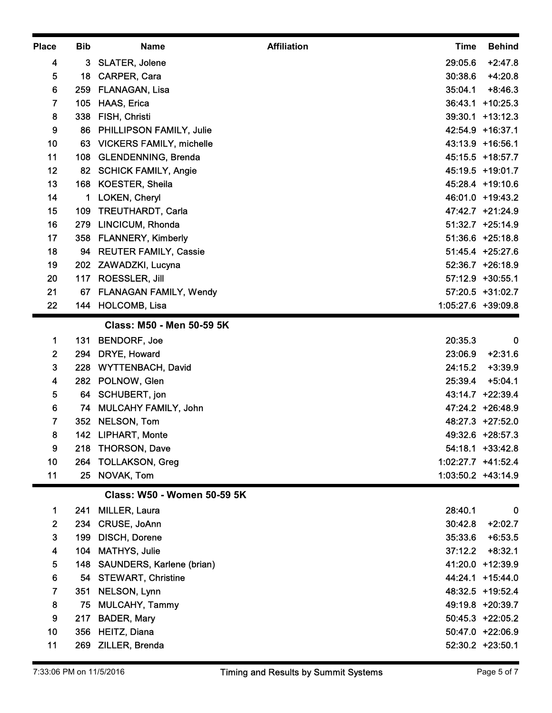| 4<br>5<br>6<br>$\overline{7}$<br>8<br>9<br>10<br>11<br>12<br>13<br>14<br>15<br>16<br>17<br>18<br>19<br>20<br>21<br>22<br>$\mathbf 1$<br>$\mathbf{2}$<br>$\mathbf{3}$<br>4<br>$5\phantom{.0}$<br>6 | 3<br>18<br>259<br>105<br>338<br>86.<br>63<br>108<br>168<br>109 | <b>SLATER, Jolene</b><br>CARPER, Cara<br>FLANAGAN, Lisa<br><b>HAAS, Erica</b><br>FISH, Christi<br>PHILLIPSON FAMILY, Julie<br><b>VICKERS FAMILY, michelle</b><br><b>GLENDENNING, Brenda</b><br>82 SCHICK FAMILY, Angie<br><b>KOESTER, Sheila</b><br>LOKEN, Cheryl<br>TREUTHARDT, Carla<br>279 LINCICUM, Rhonda<br>358 FLANNERY, Kimberly<br>94 REUTER FAMILY, Cassie<br>202 ZAWADZKI, Lucyna<br>117 ROESSLER, Jill | 29:05.6<br>30:38.6<br>35:04.1<br>36:43.1 +10:25.3<br>39:30.1 +13:12.3<br>42:54.9 +16:37.1<br>43:13.9 +16:56.1<br>45:15.5 +18:57.7<br>45:19.5 +19:01.7<br>45:28.4 +19:10.6<br>46:01.0 +19:43.2<br>47:42.7 +21:24.9<br>51:32.7 +25:14.9<br>51:36.6 +25:18.8<br>51:45.4 +25:27.6 | $+2:47.8$<br>$+4:20.8$<br>$+8:46.3$ |
|---------------------------------------------------------------------------------------------------------------------------------------------------------------------------------------------------|----------------------------------------------------------------|--------------------------------------------------------------------------------------------------------------------------------------------------------------------------------------------------------------------------------------------------------------------------------------------------------------------------------------------------------------------------------------------------------------------|-------------------------------------------------------------------------------------------------------------------------------------------------------------------------------------------------------------------------------------------------------------------------------|-------------------------------------|
|                                                                                                                                                                                                   |                                                                |                                                                                                                                                                                                                                                                                                                                                                                                                    |                                                                                                                                                                                                                                                                               |                                     |
|                                                                                                                                                                                                   |                                                                |                                                                                                                                                                                                                                                                                                                                                                                                                    |                                                                                                                                                                                                                                                                               |                                     |
|                                                                                                                                                                                                   |                                                                |                                                                                                                                                                                                                                                                                                                                                                                                                    |                                                                                                                                                                                                                                                                               |                                     |
|                                                                                                                                                                                                   |                                                                |                                                                                                                                                                                                                                                                                                                                                                                                                    |                                                                                                                                                                                                                                                                               |                                     |
|                                                                                                                                                                                                   |                                                                |                                                                                                                                                                                                                                                                                                                                                                                                                    |                                                                                                                                                                                                                                                                               |                                     |
|                                                                                                                                                                                                   |                                                                |                                                                                                                                                                                                                                                                                                                                                                                                                    |                                                                                                                                                                                                                                                                               |                                     |
|                                                                                                                                                                                                   |                                                                |                                                                                                                                                                                                                                                                                                                                                                                                                    |                                                                                                                                                                                                                                                                               |                                     |
|                                                                                                                                                                                                   |                                                                |                                                                                                                                                                                                                                                                                                                                                                                                                    |                                                                                                                                                                                                                                                                               |                                     |
|                                                                                                                                                                                                   |                                                                |                                                                                                                                                                                                                                                                                                                                                                                                                    |                                                                                                                                                                                                                                                                               |                                     |
|                                                                                                                                                                                                   |                                                                |                                                                                                                                                                                                                                                                                                                                                                                                                    |                                                                                                                                                                                                                                                                               |                                     |
|                                                                                                                                                                                                   |                                                                |                                                                                                                                                                                                                                                                                                                                                                                                                    |                                                                                                                                                                                                                                                                               |                                     |
|                                                                                                                                                                                                   |                                                                |                                                                                                                                                                                                                                                                                                                                                                                                                    |                                                                                                                                                                                                                                                                               |                                     |
|                                                                                                                                                                                                   |                                                                |                                                                                                                                                                                                                                                                                                                                                                                                                    |                                                                                                                                                                                                                                                                               |                                     |
|                                                                                                                                                                                                   |                                                                |                                                                                                                                                                                                                                                                                                                                                                                                                    |                                                                                                                                                                                                                                                                               |                                     |
|                                                                                                                                                                                                   |                                                                |                                                                                                                                                                                                                                                                                                                                                                                                                    |                                                                                                                                                                                                                                                                               | 52:36.7 +26:18.9                    |
|                                                                                                                                                                                                   |                                                                |                                                                                                                                                                                                                                                                                                                                                                                                                    | 57:12.9 +30:55.1                                                                                                                                                                                                                                                              |                                     |
|                                                                                                                                                                                                   |                                                                | 67 FLANAGAN FAMILY, Wendy                                                                                                                                                                                                                                                                                                                                                                                          | 57:20.5 +31:02.7                                                                                                                                                                                                                                                              |                                     |
|                                                                                                                                                                                                   |                                                                | 144 HOLCOMB, Lisa                                                                                                                                                                                                                                                                                                                                                                                                  | 1:05:27.6 +39:09.8                                                                                                                                                                                                                                                            |                                     |
|                                                                                                                                                                                                   |                                                                | Class: M50 - Men 50-59 5K                                                                                                                                                                                                                                                                                                                                                                                          |                                                                                                                                                                                                                                                                               |                                     |
|                                                                                                                                                                                                   | 131                                                            | <b>BENDORF, Joe</b>                                                                                                                                                                                                                                                                                                                                                                                                | 20:35.3                                                                                                                                                                                                                                                                       | $\bf{0}$                            |
|                                                                                                                                                                                                   |                                                                | 294 DRYE, Howard                                                                                                                                                                                                                                                                                                                                                                                                   | 23:06.9                                                                                                                                                                                                                                                                       | $+2:31.6$                           |
|                                                                                                                                                                                                   | 228                                                            | <b>WYTTENBACH, David</b>                                                                                                                                                                                                                                                                                                                                                                                           | 24:15.2                                                                                                                                                                                                                                                                       | $+3:39.9$                           |
|                                                                                                                                                                                                   |                                                                | 282 POLNOW, Glen                                                                                                                                                                                                                                                                                                                                                                                                   | 25:39.4 +5:04.1                                                                                                                                                                                                                                                               |                                     |
|                                                                                                                                                                                                   |                                                                | 64 SCHUBERT, jon                                                                                                                                                                                                                                                                                                                                                                                                   | 43:14.7 +22:39.4                                                                                                                                                                                                                                                              |                                     |
|                                                                                                                                                                                                   |                                                                | 74 MULCAHY FAMILY, John                                                                                                                                                                                                                                                                                                                                                                                            | 47:24.2 +26:48.9                                                                                                                                                                                                                                                              |                                     |
| $\overline{7}$                                                                                                                                                                                    |                                                                | 352 NELSON, Tom                                                                                                                                                                                                                                                                                                                                                                                                    | 48:27.3 +27:52.0                                                                                                                                                                                                                                                              |                                     |
| 8                                                                                                                                                                                                 |                                                                | 142 LIPHART, Monte                                                                                                                                                                                                                                                                                                                                                                                                 | 49:32.6 +28:57.3                                                                                                                                                                                                                                                              |                                     |
| 9                                                                                                                                                                                                 | 218                                                            | <b>THORSON, Dave</b>                                                                                                                                                                                                                                                                                                                                                                                               | 54:18.1 +33:42.8                                                                                                                                                                                                                                                              |                                     |
| 10                                                                                                                                                                                                |                                                                | 264 TOLLAKSON, Greg                                                                                                                                                                                                                                                                                                                                                                                                | 1:02:27.7 +41:52.4                                                                                                                                                                                                                                                            |                                     |
| 11                                                                                                                                                                                                |                                                                | 25 NOVAK, Tom                                                                                                                                                                                                                                                                                                                                                                                                      | 1:03:50.2 +43:14.9                                                                                                                                                                                                                                                            |                                     |
|                                                                                                                                                                                                   |                                                                | <b>Class: W50 - Women 50-59 5K</b>                                                                                                                                                                                                                                                                                                                                                                                 |                                                                                                                                                                                                                                                                               |                                     |
| 1                                                                                                                                                                                                 | 241                                                            | <b>MILLER, Laura</b>                                                                                                                                                                                                                                                                                                                                                                                               | 28:40.1                                                                                                                                                                                                                                                                       | $\bf{0}$                            |
| $\mathbf{2}$                                                                                                                                                                                      |                                                                | 234 CRUSE, JoAnn                                                                                                                                                                                                                                                                                                                                                                                                   | 30:42.8                                                                                                                                                                                                                                                                       | $+2:02.7$                           |
| $\mathbf{3}$                                                                                                                                                                                      | 199                                                            | <b>DISCH, Dorene</b>                                                                                                                                                                                                                                                                                                                                                                                               | 35:33.6                                                                                                                                                                                                                                                                       | $+6:53.5$                           |
| $\overline{\mathbf{4}}$                                                                                                                                                                           | 104                                                            | <b>MATHYS, Julie</b>                                                                                                                                                                                                                                                                                                                                                                                               | 37:12.2                                                                                                                                                                                                                                                                       | $+8:32.1$                           |
| 5                                                                                                                                                                                                 | 148                                                            | <b>SAUNDERS, Karlene (brian)</b>                                                                                                                                                                                                                                                                                                                                                                                   | 41:20.0 +12:39.9                                                                                                                                                                                                                                                              |                                     |
| 6                                                                                                                                                                                                 |                                                                | 54 STEWART, Christine                                                                                                                                                                                                                                                                                                                                                                                              | 44:24.1 +15:44.0                                                                                                                                                                                                                                                              |                                     |
| 7                                                                                                                                                                                                 |                                                                | 351 NELSON, Lynn                                                                                                                                                                                                                                                                                                                                                                                                   | 48:32.5 +19:52.4                                                                                                                                                                                                                                                              |                                     |
| 8                                                                                                                                                                                                 |                                                                | 75 MULCAHY, Tammy                                                                                                                                                                                                                                                                                                                                                                                                  | 49:19.8 +20:39.7                                                                                                                                                                                                                                                              |                                     |
| 9                                                                                                                                                                                                 |                                                                | 217 BADER, Mary                                                                                                                                                                                                                                                                                                                                                                                                    | 50:45.3 +22:05.2                                                                                                                                                                                                                                                              |                                     |
| 10<br>11                                                                                                                                                                                          |                                                                | 356 HEITZ, Diana<br>269 ZILLER, Brenda                                                                                                                                                                                                                                                                                                                                                                             | 50:47.0 +22:06.9<br>52:30.2 +23:50.1                                                                                                                                                                                                                                          |                                     |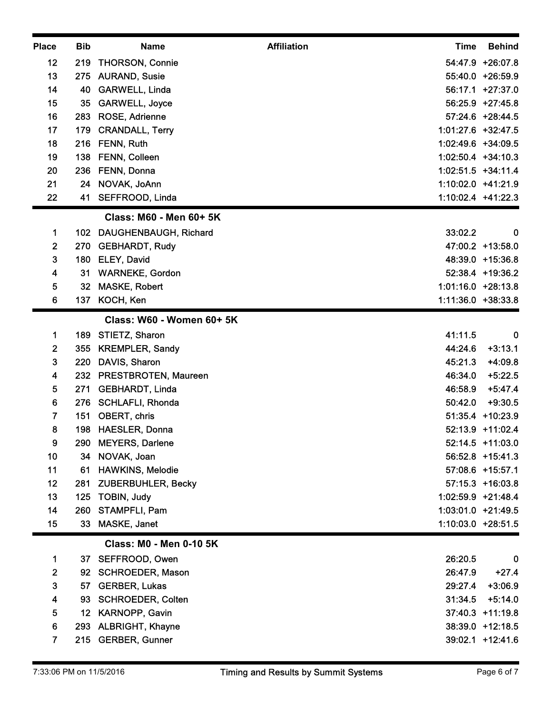| <b>Place</b>            | <b>Bib</b> | <b>Name</b>                                          | <b>Affiliation</b> | <b>Time</b>        | <b>Behind</b>                        |
|-------------------------|------------|------------------------------------------------------|--------------------|--------------------|--------------------------------------|
| 12                      | 219        | THORSON, Connie                                      |                    |                    | 54:47.9 +26:07.8                     |
| 13                      |            | 275 AURAND, Susie                                    |                    |                    | 55:40.0 +26:59.9                     |
| 14                      |            | 40 GARWELL, Linda                                    |                    |                    | 56:17.1 +27:37.0                     |
| 15<br>16                | 35<br>283  | <b>GARWELL, Joyce</b><br>ROSE, Adrienne              |                    |                    | 56:25.9 +27:45.8<br>57:24.6 +28:44.5 |
| 17                      | 179        | <b>CRANDALL, Terry</b>                               |                    |                    | 1:01:27.6 +32:47.5                   |
| 18                      | 216        | FENN, Ruth                                           |                    | 1:02:49.6 +34:09.5 |                                      |
| 19                      | 138        | FENN, Colleen                                        |                    |                    | 1:02:50.4 +34:10.3                   |
| 20                      | 236        | FENN, Donna                                          |                    |                    | 1:02:51.5 +34:11.4                   |
| 21                      |            | 24 NOVAK, JoAnn                                      |                    | 1:10:02.0 +41:21.9 |                                      |
| 22                      |            | 41 SEFFROOD, Linda                                   |                    | 1:10:02.4 +41:22.3 |                                      |
|                         |            | Class: M60 - Men 60+ 5K                              |                    |                    |                                      |
| 1                       |            | 102 DAUGHENBAUGH, Richard                            |                    | 33:02.2            | $\bf{0}$                             |
| $\mathbf{2}$            |            | 270 GEBHARDT, Rudy                                   |                    |                    | 47:00.2 +13:58.0                     |
| 3                       | 180        | ELEY, David                                          |                    |                    | 48:39.0 +15:36.8                     |
| 4<br>5                  | 31         | <b>WARNEKE, Gordon</b><br>32 MASKE, Robert           |                    | 1:01:16.0 +28:13.8 | 52:38.4 +19:36.2                     |
| $6\phantom{1}$          |            | 137 KOCH, Ken                                        |                    |                    | 1:11:36.0 +38:33.8                   |
|                         |            | Class: W60 - Women 60+ 5K                            |                    |                    |                                      |
| 1                       | 189        | STIETZ, Sharon                                       |                    | 41:11.5            | $\bf{0}$                             |
| $\mathbf{2}$            | 355        | <b>KREMPLER, Sandy</b>                               |                    | 44:24.6            | $+3:13.1$                            |
| $\mathbf{3}$            | 220        | DAVIS, Sharon                                        |                    | 45:21.3            | $+4:09.8$                            |
| 4                       | 232        | <b>PRESTBROTEN, Maureen</b>                          |                    | 46:34.0            | $+5:22.5$                            |
| 5                       | 271        | <b>GEBHARDT, Linda</b>                               |                    | 46:58.9            | $+5:47.4$                            |
| 6                       | 276        | <b>SCHLAFLI, Rhonda</b>                              |                    | 50:42.0            | $+9:30.5$                            |
| $\overline{\mathbf{r}}$ | 151        | OBERT, chris                                         |                    |                    | 51:35.4 +10:23.9                     |
| 8                       | 198        | <b>HAESLER, Donna</b>                                |                    |                    | 52:13.9 +11:02.4                     |
| 9                       | 290        | <b>MEYERS, Darlene</b>                               |                    |                    | 52:14.5 +11:03.0                     |
| 10<br>11                |            | 34 NOVAK, Joan                                       |                    |                    | 56:52.8 +15:41.3<br>57:08.6 +15:57.1 |
| 12                      | 61<br>281  | <b>HAWKINS, Melodie</b><br><b>ZUBERBUHLER, Becky</b> |                    |                    | 57:15.3 +16:03.8                     |
| 13                      | 125        | <b>TOBIN, Judy</b>                                   |                    |                    | 1:02:59.9 +21:48.4                   |
| 14                      |            | 260 STAMPFLI, Pam                                    |                    |                    | 1:03:01.0 +21:49.5                   |
| 15                      |            | 33 MASKE, Janet                                      |                    |                    | 1:10:03.0 +28:51.5                   |
|                         |            | <b>Class: M0 - Men 0-10 5K</b>                       |                    |                    |                                      |
| $\mathbf 1$             |            | 37 SEFFROOD, Owen                                    |                    | 26:20.5            | $\mathbf 0$                          |
| $\overline{2}$          | 92         | <b>SCHROEDER, Mason</b>                              |                    | 26:47.9            | $+27.4$                              |
| $\mathbf{3}$            | 57         | <b>GERBER, Lukas</b>                                 |                    | 29:27.4            | $+3:06.9$                            |
| 4                       |            | 93 SCHROEDER, Colten                                 |                    | 31:34.5            | $+5:14.0$                            |
| 5                       |            | 12 KARNOPP, Gavin                                    |                    |                    | 37:40.3 +11:19.8                     |
| 6                       | 293        | <b>ALBRIGHT, Khayne</b>                              |                    |                    | 38:39.0 +12:18.5                     |
| 7                       |            | 215 GERBER, Gunner                                   |                    |                    | 39:02.1 +12:41.6                     |
|                         |            |                                                      |                    |                    |                                      |
|                         |            |                                                      |                    |                    |                                      |